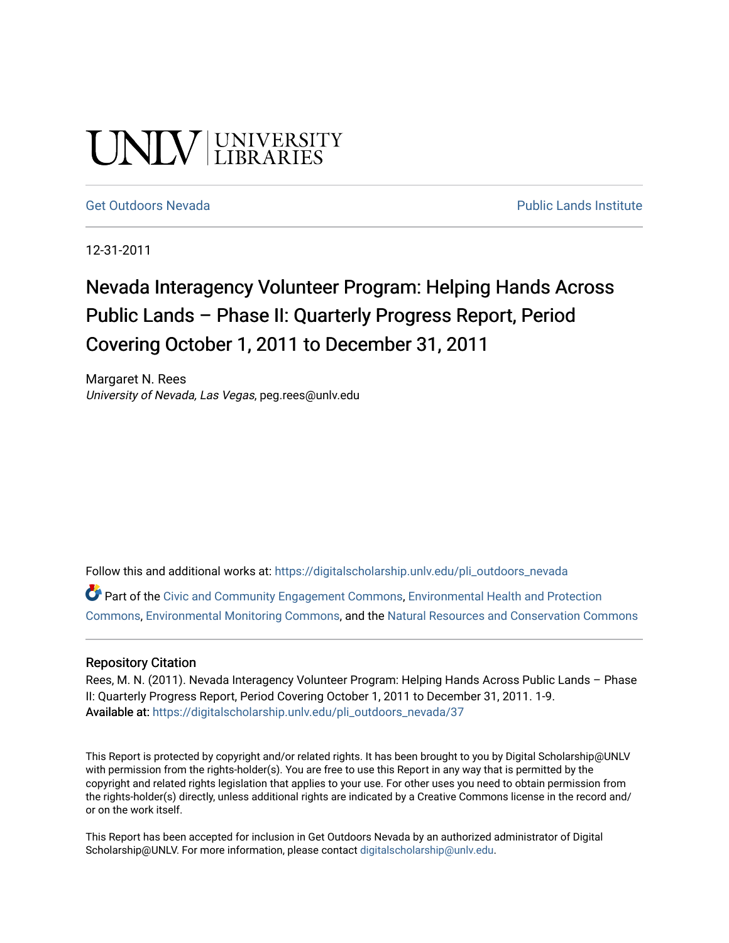# UNIV UNIVERSITY

#### [Get Outdoors Nevada](https://digitalscholarship.unlv.edu/pli_outdoors_nevada) **Public Lands Institute** Public Lands Institute

12-31-2011

## Nevada Interagency Volunteer Program: Helping Hands Across Public Lands – Phase II: Quarterly Progress Report, Period Covering October 1, 2011 to December 31, 2011

Margaret N. Rees University of Nevada, Las Vegas, peg.rees@unlv.edu

Follow this and additional works at: [https://digitalscholarship.unlv.edu/pli\\_outdoors\\_nevada](https://digitalscholarship.unlv.edu/pli_outdoors_nevada?utm_source=digitalscholarship.unlv.edu%2Fpli_outdoors_nevada%2F37&utm_medium=PDF&utm_campaign=PDFCoverPages)

Part of the [Civic and Community Engagement Commons](http://network.bepress.com/hgg/discipline/1028?utm_source=digitalscholarship.unlv.edu%2Fpli_outdoors_nevada%2F37&utm_medium=PDF&utm_campaign=PDFCoverPages), [Environmental Health and Protection](http://network.bepress.com/hgg/discipline/172?utm_source=digitalscholarship.unlv.edu%2Fpli_outdoors_nevada%2F37&utm_medium=PDF&utm_campaign=PDFCoverPages)  [Commons](http://network.bepress.com/hgg/discipline/172?utm_source=digitalscholarship.unlv.edu%2Fpli_outdoors_nevada%2F37&utm_medium=PDF&utm_campaign=PDFCoverPages), [Environmental Monitoring Commons,](http://network.bepress.com/hgg/discipline/931?utm_source=digitalscholarship.unlv.edu%2Fpli_outdoors_nevada%2F37&utm_medium=PDF&utm_campaign=PDFCoverPages) and the [Natural Resources and Conservation Commons](http://network.bepress.com/hgg/discipline/168?utm_source=digitalscholarship.unlv.edu%2Fpli_outdoors_nevada%2F37&utm_medium=PDF&utm_campaign=PDFCoverPages)

#### Repository Citation

Rees, M. N. (2011). Nevada Interagency Volunteer Program: Helping Hands Across Public Lands - Phase II: Quarterly Progress Report, Period Covering October 1, 2011 to December 31, 2011. 1-9. Available at: [https://digitalscholarship.unlv.edu/pli\\_outdoors\\_nevada/37](https://digitalscholarship.unlv.edu/pli_outdoors_nevada/37) 

This Report is protected by copyright and/or related rights. It has been brought to you by Digital Scholarship@UNLV with permission from the rights-holder(s). You are free to use this Report in any way that is permitted by the copyright and related rights legislation that applies to your use. For other uses you need to obtain permission from the rights-holder(s) directly, unless additional rights are indicated by a Creative Commons license in the record and/ or on the work itself.

This Report has been accepted for inclusion in Get Outdoors Nevada by an authorized administrator of Digital Scholarship@UNLV. For more information, please contact [digitalscholarship@unlv.edu.](mailto:digitalscholarship@unlv.edu)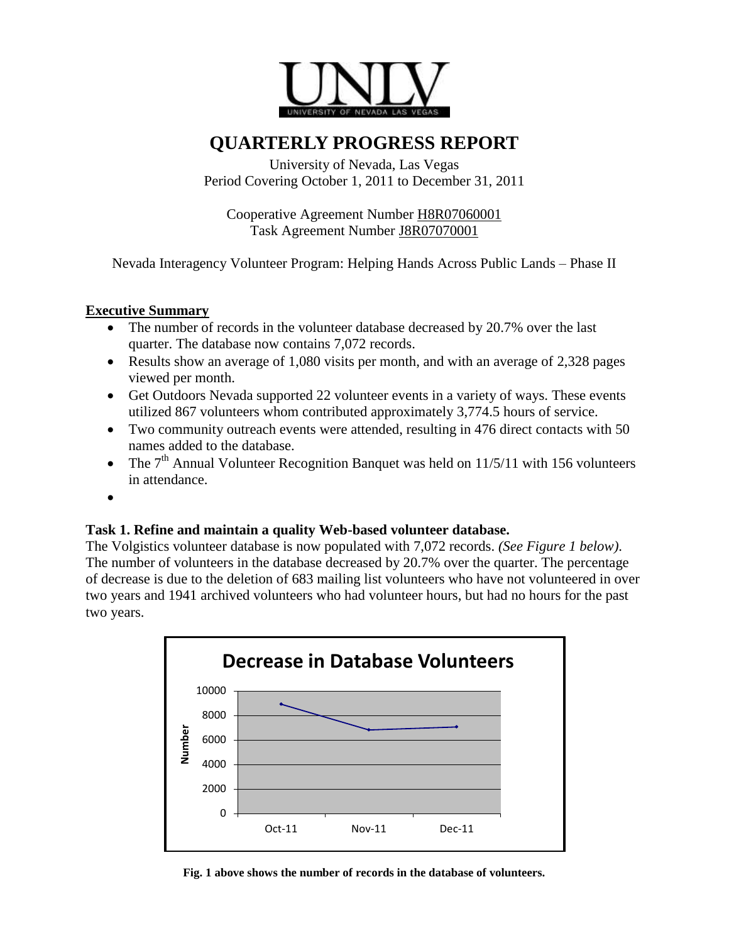

### **QUARTERLY PROGRESS REPORT**

University of Nevada, Las Vegas Period Covering October 1, 2011 to December 31, 2011

Cooperative Agreement Number H8R07060001 Task Agreement Number J8R07070001

Nevada Interagency Volunteer Program: Helping Hands Across Public Lands – Phase II

#### **Executive Summary**

- The number of records in the volunteer database decreased by 20.7% over the last quarter. The database now contains 7,072 records.
- Results show an average of 1,080 visits per month, and with an average of 2,328 pages viewed per month.
- Get Outdoors Nevada supported 22 volunteer events in a variety of ways. These events utilized 867 volunteers whom contributed approximately 3,774.5 hours of service.
- Two community outreach events were attended, resulting in 476 direct contacts with 50 names added to the database.
- The  $7<sup>th</sup>$  Annual Volunteer Recognition Banquet was held on 11/5/11 with 156 volunteers in attendance.
- $\bullet$

#### **Task 1. Refine and maintain a quality Web-based volunteer database.**

The Volgistics volunteer database is now populated with 7,072 records. *(See Figure 1 below)*. The number of volunteers in the database decreased by 20.7% over the quarter. The percentage of decrease is due to the deletion of 683 mailing list volunteers who have not volunteered in over two years and 1941 archived volunteers who had volunteer hours, but had no hours for the past two years.



**Fig. 1 above shows the number of records in the database of volunteers.**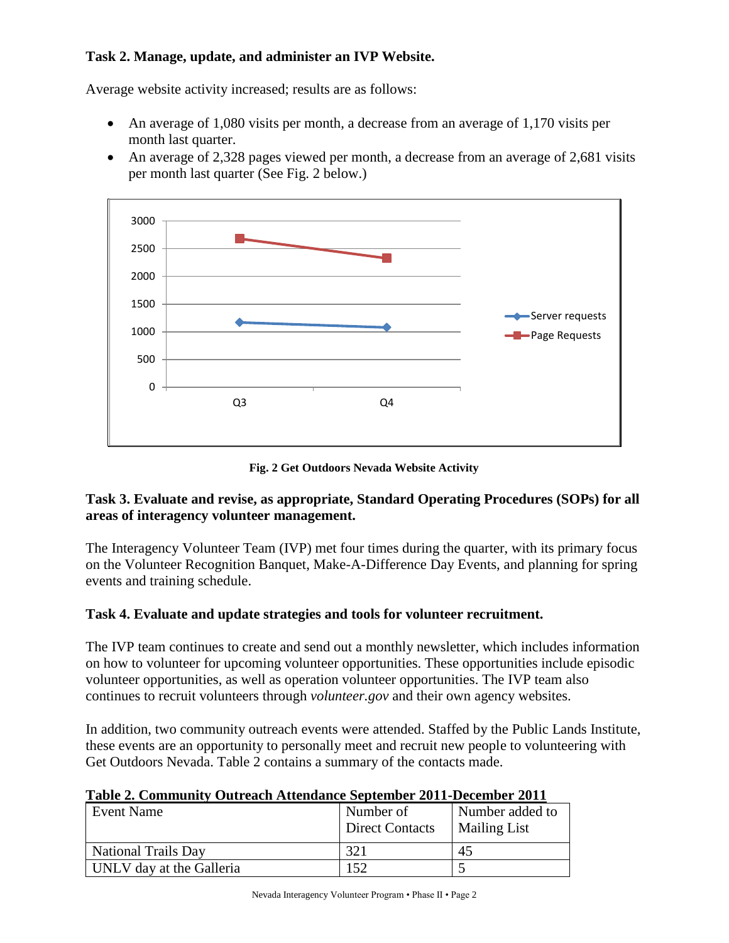#### **Task 2. Manage, update, and administer an IVP Website.**

Average website activity increased; results are as follows:

- An average of 1,080 visits per month, a decrease from an average of 1,170 visits per month last quarter.
- An average of 2,328 pages viewed per month, a decrease from an average of 2,681 visits per month last quarter (See Fig. 2 below.)



**Fig. 2 Get Outdoors Nevada Website Activity**

#### **Task 3. Evaluate and revise, as appropriate, Standard Operating Procedures (SOPs) for all areas of interagency volunteer management.**

The Interagency Volunteer Team (IVP) met four times during the quarter, with its primary focus on the Volunteer Recognition Banquet, Make-A-Difference Day Events, and planning for spring events and training schedule.

#### **Task 4. Evaluate and update strategies and tools for volunteer recruitment.**

The IVP team continues to create and send out a monthly newsletter, which includes information on how to volunteer for upcoming volunteer opportunities. These opportunities include episodic volunteer opportunities, as well as operation volunteer opportunities. The IVP team also continues to recruit volunteers through *volunteer.gov* and their own agency websites.

In addition, two community outreach events were attended. Staffed by the Public Lands Institute, these events are an opportunity to personally meet and recruit new people to volunteering with Get Outdoors Nevada. Table 2 contains a summary of the contacts made.

| Table 2. Community Outreach Attendance September 2011-December 2011 |  |
|---------------------------------------------------------------------|--|
|---------------------------------------------------------------------|--|

| Event Name                 | Number of<br><b>Direct Contacts</b> | Number added to<br><b>Mailing List</b> |
|----------------------------|-------------------------------------|----------------------------------------|
| <b>National Trails Day</b> | 321                                 | 45                                     |
| UNLV day at the Galleria   | .52                                 |                                        |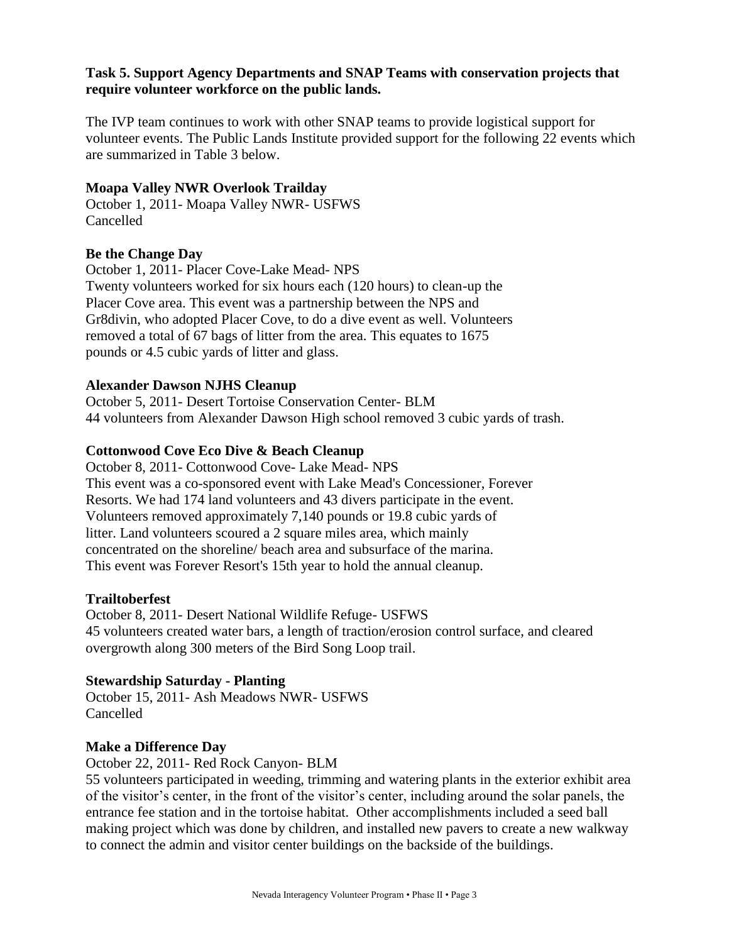#### **Task 5. Support Agency Departments and SNAP Teams with conservation projects that require volunteer workforce on the public lands.**

The IVP team continues to work with other SNAP teams to provide logistical support for volunteer events. The Public Lands Institute provided support for the following 22 events which are summarized in Table 3 below.

#### **Moapa Valley NWR Overlook Trailday**

October 1, 2011- Moapa Valley NWR- USFWS Cancelled

#### **Be the Change Day**

October 1, 2011- Placer Cove-Lake Mead- NPS Twenty volunteers worked for six hours each (120 hours) to clean-up the Placer Cove area. This event was a partnership between the NPS and Gr8divin, who adopted Placer Cove, to do a dive event as well. Volunteers removed a total of 67 bags of litter from the area. This equates to 1675 pounds or 4.5 cubic yards of litter and glass.

#### **Alexander Dawson NJHS Cleanup**

October 5, 2011- Desert Tortoise Conservation Center- BLM 44 volunteers from Alexander Dawson High school removed 3 cubic yards of trash.

#### **Cottonwood Cove Eco Dive & Beach Cleanup**

October 8, 2011- Cottonwood Cove- Lake Mead- NPS This event was a co-sponsored event with Lake Mead's Concessioner, Forever Resorts. We had 174 land volunteers and 43 divers participate in the event. Volunteers removed approximately 7,140 pounds or 19.8 cubic yards of litter. Land volunteers scoured a 2 square miles area, which mainly concentrated on the shoreline/ beach area and subsurface of the marina. This event was Forever Resort's 15th year to hold the annual cleanup.

#### **Trailtoberfest**

October 8, 2011- Desert National Wildlife Refuge- USFWS 45 volunteers created water bars, a length of traction/erosion control surface, and cleared overgrowth along 300 meters of the Bird Song Loop trail.

#### **Stewardship Saturday - Planting**

October 15, 2011- Ash Meadows NWR- USFWS Cancelled

#### **Make a Difference Day**

October 22, 2011- Red Rock Canyon- BLM

55 volunteers participated in weeding, trimming and watering plants in the exterior exhibit area of the visitor's center, in the front of the visitor's center, including around the solar panels, the entrance fee station and in the tortoise habitat. Other accomplishments included a seed ball making project which was done by children, and installed new pavers to create a new walkway to connect the admin and visitor center buildings on the backside of the buildings.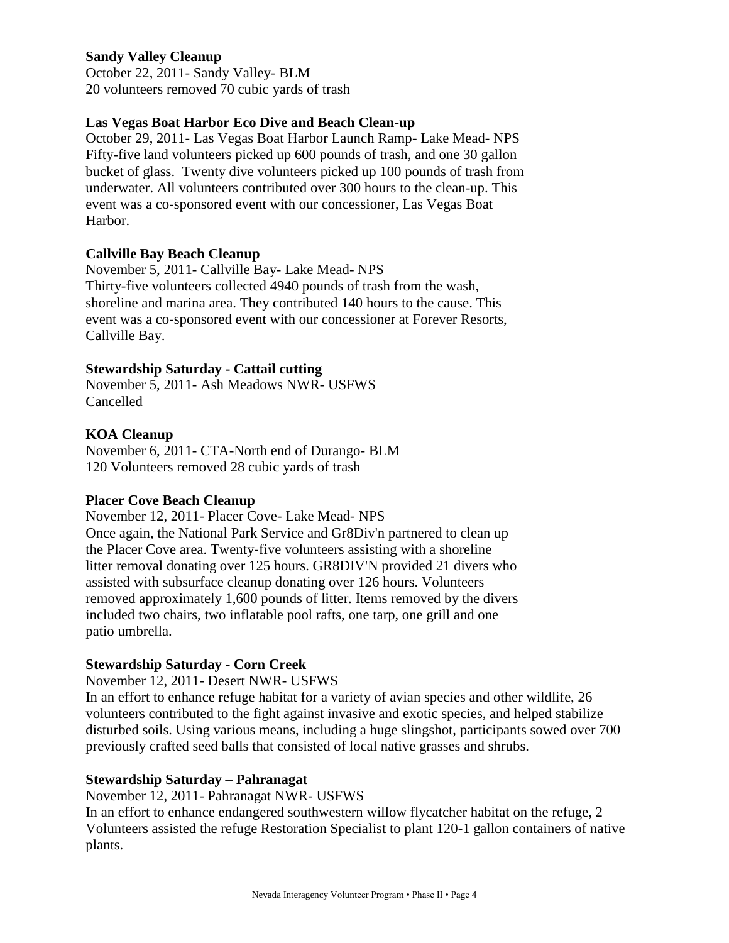#### **Sandy Valley Cleanup**

October 22, 2011- Sandy Valley- BLM 20 volunteers removed 70 cubic yards of trash

#### **Las Vegas Boat Harbor Eco Dive and Beach Clean-up**

October 29, 2011- Las Vegas Boat Harbor Launch Ramp- Lake Mead- NPS Fifty-five land volunteers picked up 600 pounds of trash, and one 30 gallon bucket of glass. Twenty dive volunteers picked up 100 pounds of trash from underwater. All volunteers contributed over 300 hours to the clean-up. This event was a co-sponsored event with our concessioner, Las Vegas Boat Harbor.

#### **Callville Bay Beach Cleanup**

November 5, 2011- Callville Bay- Lake Mead- NPS Thirty-five volunteers collected 4940 pounds of trash from the wash, shoreline and marina area. They contributed 140 hours to the cause. This event was a co-sponsored event with our concessioner at Forever Resorts, Callville Bay.

#### **Stewardship Saturday - Cattail cutting**

November 5, 2011- Ash Meadows NWR- USFWS Cancelled

#### **KOA Cleanup**

November 6, 2011- CTA-North end of Durango- BLM 120 Volunteers removed 28 cubic yards of trash

#### **Placer Cove Beach Cleanup**

November 12, 2011- Placer Cove- Lake Mead- NPS Once again, the National Park Service and Gr8Div'n partnered to clean up the Placer Cove area. Twenty-five volunteers assisting with a shoreline litter removal donating over 125 hours. GR8DIV'N provided 21 divers who assisted with subsurface cleanup donating over 126 hours. Volunteers removed approximately 1,600 pounds of litter. Items removed by the divers included two chairs, two inflatable pool rafts, one tarp, one grill and one patio umbrella.

#### **Stewardship Saturday - Corn Creek**

November 12, 2011- Desert NWR- USFWS

In an effort to enhance refuge habitat for a variety of avian species and other wildlife, 26 volunteers contributed to the fight against invasive and exotic species, and helped stabilize disturbed soils. Using various means, including a huge slingshot, participants sowed over 700 previously crafted seed balls that consisted of local native grasses and shrubs.

#### **Stewardship Saturday – Pahranagat**

November 12, 2011- Pahranagat NWR- USFWS

In an effort to enhance endangered southwestern willow flycatcher habitat on the refuge, 2 Volunteers assisted the refuge Restoration Specialist to plant 120-1 gallon containers of native plants.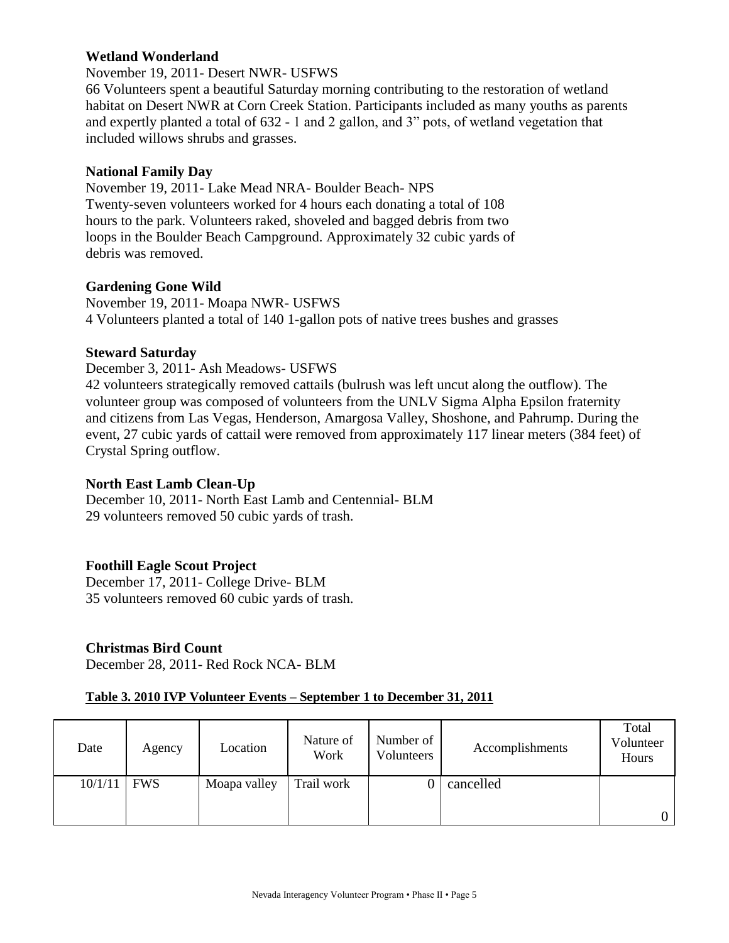#### **Wetland Wonderland**

November 19, 2011- Desert NWR- USFWS

66 Volunteers spent a beautiful Saturday morning contributing to the restoration of wetland habitat on Desert NWR at Corn Creek Station. Participants included as many youths as parents and expertly planted a total of 632 - 1 and 2 gallon, and 3" pots, of wetland vegetation that included willows shrubs and grasses.

#### **National Family Day**

November 19, 2011- Lake Mead NRA- Boulder Beach- NPS Twenty-seven volunteers worked for 4 hours each donating a total of 108 hours to the park. Volunteers raked, shoveled and bagged debris from two loops in the Boulder Beach Campground. Approximately 32 cubic yards of debris was removed.

#### **Gardening Gone Wild**

November 19, 2011- Moapa NWR- USFWS 4 Volunteers planted a total of 140 1-gallon pots of native trees bushes and grasses

#### **Steward Saturday**

December 3, 2011- Ash Meadows- USFWS 42 volunteers strategically removed cattails (bulrush was left uncut along the outflow). The volunteer group was composed of volunteers from the UNLV Sigma Alpha Epsilon fraternity and citizens from Las Vegas, Henderson, Amargosa Valley, Shoshone, and Pahrump. During the event, 27 cubic yards of cattail were removed from approximately 117 linear meters (384 feet) of

Crystal Spring outflow.

#### **North East Lamb Clean-Up**

December 10, 2011- North East Lamb and Centennial- BLM 29 volunteers removed 50 cubic yards of trash.

#### **Foothill Eagle Scout Project**

December 17, 2011- College Drive- BLM 35 volunteers removed 60 cubic yards of trash.

#### **Christmas Bird Count**

December 28, 2011- Red Rock NCA- BLM

#### **Table 3. 2010 IVP Volunteer Events – September 1 to December 31, 2011**

| Date    | Agency     | Location     | Nature of<br>Work | Number of<br>Volunteers | Accomplishments | Total<br>Volunteer<br>Hours |
|---------|------------|--------------|-------------------|-------------------------|-----------------|-----------------------------|
| 10/1/11 | <b>FWS</b> | Moapa valley | Trail work        |                         | cancelled       |                             |
|         |            |              |                   |                         |                 | 0                           |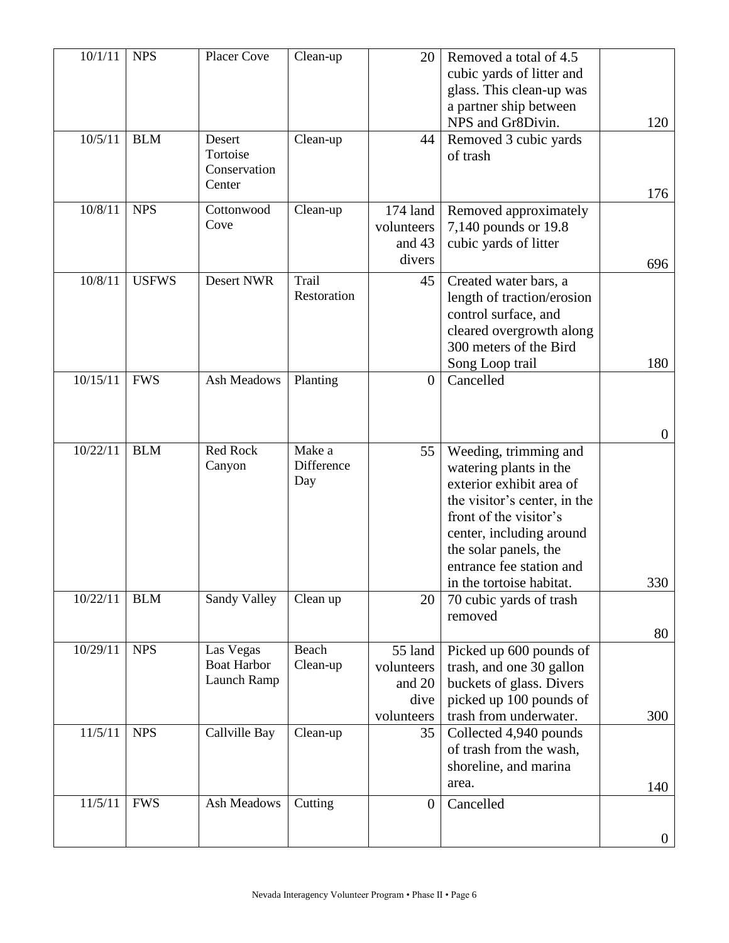| 10/1/11  | <b>NPS</b>   | <b>Placer Cove</b> | Clean-up             | 20             | Removed a total of 4.5       |                |
|----------|--------------|--------------------|----------------------|----------------|------------------------------|----------------|
|          |              |                    |                      |                | cubic yards of litter and    |                |
|          |              |                    |                      |                | glass. This clean-up was     |                |
|          |              |                    |                      |                | a partner ship between       |                |
|          |              |                    |                      |                | NPS and Gr8Divin.            | 120            |
| 10/5/11  | <b>BLM</b>   | Desert             | Clean-up             | 44             | Removed 3 cubic yards        |                |
|          |              | Tortoise           |                      |                | of trash                     |                |
|          |              | Conservation       |                      |                |                              |                |
|          |              | Center             |                      |                |                              | 176            |
| 10/8/11  | <b>NPS</b>   | Cottonwood         | Clean-up             | 174 land       | Removed approximately        |                |
|          |              | Cove               |                      | volunteers     | 7,140 pounds or 19.8         |                |
|          |              |                    |                      | and 43         | cubic yards of litter        |                |
|          |              |                    |                      | divers         |                              |                |
|          |              |                    |                      |                |                              | 696            |
| 10/8/11  | <b>USFWS</b> | <b>Desert NWR</b>  | Trail<br>Restoration | 45             | Created water bars, a        |                |
|          |              |                    |                      |                | length of traction/erosion   |                |
|          |              |                    |                      |                | control surface, and         |                |
|          |              |                    |                      |                | cleared overgrowth along     |                |
|          |              |                    |                      |                | 300 meters of the Bird       |                |
|          |              |                    |                      |                | Song Loop trail              | 180            |
| 10/15/11 | <b>FWS</b>   | <b>Ash Meadows</b> | Planting             | $\overline{0}$ | Cancelled                    |                |
|          |              |                    |                      |                |                              |                |
|          |              |                    |                      |                |                              |                |
|          |              |                    |                      |                |                              | $\overline{0}$ |
| 10/22/11 | <b>BLM</b>   | Red Rock           | Make a               | 55             | Weeding, trimming and        |                |
|          |              | Canyon             | Difference           |                | watering plants in the       |                |
|          |              |                    | Day                  |                | exterior exhibit area of     |                |
|          |              |                    |                      |                | the visitor's center, in the |                |
|          |              |                    |                      |                | front of the visitor's       |                |
|          |              |                    |                      |                | center, including around     |                |
|          |              |                    |                      |                | the solar panels, the        |                |
|          |              |                    |                      |                | entrance fee station and     |                |
|          |              |                    |                      |                | in the tortoise habitat.     | 330            |
| 10/22/11 | <b>BLM</b>   | Sandy Valley       | Clean up             | 20             | 70 cubic yards of trash      |                |
|          |              |                    |                      |                | removed                      |                |
|          |              |                    |                      |                |                              | 80             |
| 10/29/11 | <b>NPS</b>   | Las Vegas          | Beach                | 55 land        | Picked up 600 pounds of      |                |
|          |              | <b>Boat Harbor</b> | Clean-up             | volunteers     | trash, and one 30 gallon     |                |
|          |              | Launch Ramp        |                      | and 20         | buckets of glass. Divers     |                |
|          |              |                    |                      | dive           | picked up 100 pounds of      |                |
|          |              |                    |                      | volunteers     | trash from underwater.       | 300            |
| 11/5/11  | <b>NPS</b>   | Callville Bay      | Clean-up             | 35             | Collected 4,940 pounds       |                |
|          |              |                    |                      |                | of trash from the wash,      |                |
|          |              |                    |                      |                | shoreline, and marina        |                |
|          |              |                    |                      |                | area.                        | 140            |
| 11/5/11  | <b>FWS</b>   | Ash Meadows        | Cutting              | $\overline{0}$ | Cancelled                    |                |
|          |              |                    |                      |                |                              |                |
|          |              |                    |                      |                |                              | $\overline{0}$ |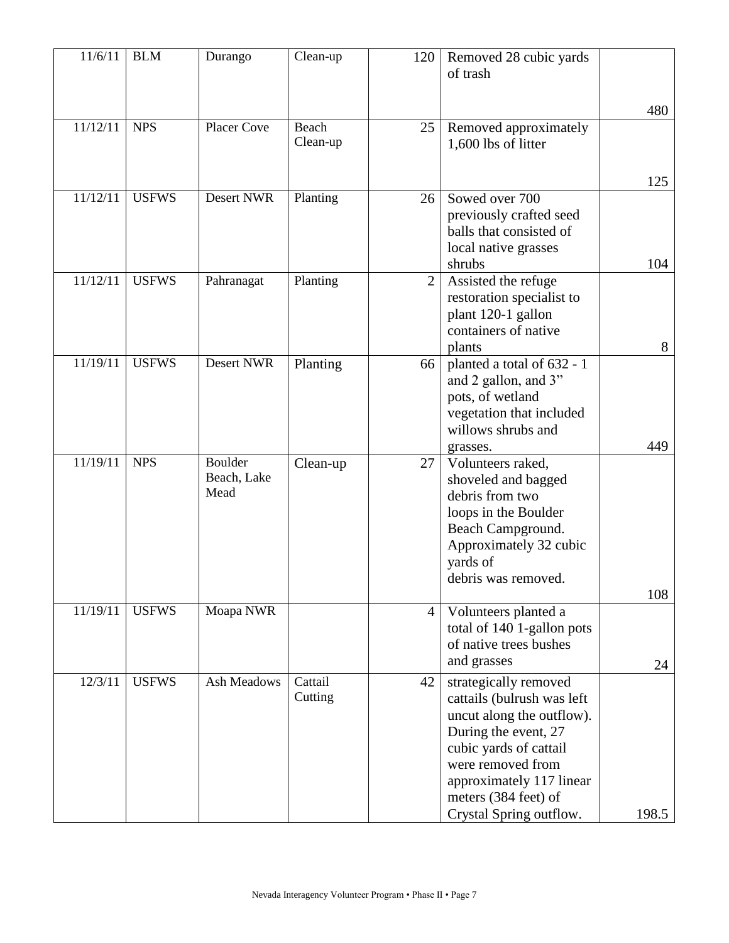| 11/6/11  | <b>BLM</b>   | Durango     | Clean-up          | 120            | Removed 28 cubic yards                             |       |
|----------|--------------|-------------|-------------------|----------------|----------------------------------------------------|-------|
|          |              |             |                   |                | of trash                                           |       |
|          |              |             |                   |                |                                                    |       |
|          |              |             |                   |                |                                                    | 480   |
| 11/12/11 | <b>NPS</b>   | Placer Cove | Beach<br>Clean-up | 25             | Removed approximately                              |       |
|          |              |             |                   |                | 1,600 lbs of litter                                |       |
|          |              |             |                   |                |                                                    |       |
| 11/12/11 | <b>USFWS</b> | Desert NWR  | Planting          | 26             | Sowed over 700                                     | 125   |
|          |              |             |                   |                | previously crafted seed                            |       |
|          |              |             |                   |                | balls that consisted of                            |       |
|          |              |             |                   |                | local native grasses                               |       |
|          |              |             |                   |                | shrubs                                             | 104   |
| 11/12/11 | <b>USFWS</b> | Pahranagat  | Planting          | $\overline{2}$ | Assisted the refuge                                |       |
|          |              |             |                   |                | restoration specialist to                          |       |
|          |              |             |                   |                | plant 120-1 gallon                                 |       |
|          |              |             |                   |                | containers of native                               |       |
|          |              |             |                   |                | plants                                             | 8     |
| 11/19/11 | <b>USFWS</b> | Desert NWR  | Planting          | 66             | planted a total of 632 - 1                         |       |
|          |              |             |                   |                | and 2 gallon, and 3"                               |       |
|          |              |             |                   |                | pots, of wetland<br>vegetation that included       |       |
|          |              |             |                   |                | willows shrubs and                                 |       |
|          |              |             |                   |                | grasses.                                           | 449   |
| 11/19/11 | <b>NPS</b>   | Boulder     | Clean-up          | 27             | Volunteers raked,                                  |       |
|          |              | Beach, Lake |                   |                | shoveled and bagged                                |       |
|          |              | Mead        |                   |                | debris from two                                    |       |
|          |              |             |                   |                | loops in the Boulder                               |       |
|          |              |             |                   |                | Beach Campground.                                  |       |
|          |              |             |                   |                | Approximately 32 cubic                             |       |
|          |              |             |                   |                | yards of                                           |       |
|          |              |             |                   |                | debris was removed.                                |       |
| 11/19/11 | <b>USFWS</b> | Moapa NWR   |                   | $\overline{4}$ |                                                    | 108   |
|          |              |             |                   |                | Volunteers planted a<br>total of 140 1-gallon pots |       |
|          |              |             |                   |                | of native trees bushes                             |       |
|          |              |             |                   |                | and grasses                                        | 24    |
| 12/3/11  | <b>USFWS</b> | Ash Meadows | Cattail           | 42             | strategically removed                              |       |
|          |              |             | Cutting           |                | cattails (bulrush was left                         |       |
|          |              |             |                   |                | uncut along the outflow).                          |       |
|          |              |             |                   |                | During the event, 27                               |       |
|          |              |             |                   |                | cubic yards of cattail                             |       |
|          |              |             |                   |                | were removed from                                  |       |
|          |              |             |                   |                | approximately 117 linear                           |       |
|          |              |             |                   |                | meters (384 feet) of                               |       |
|          |              |             |                   |                | Crystal Spring outflow.                            | 198.5 |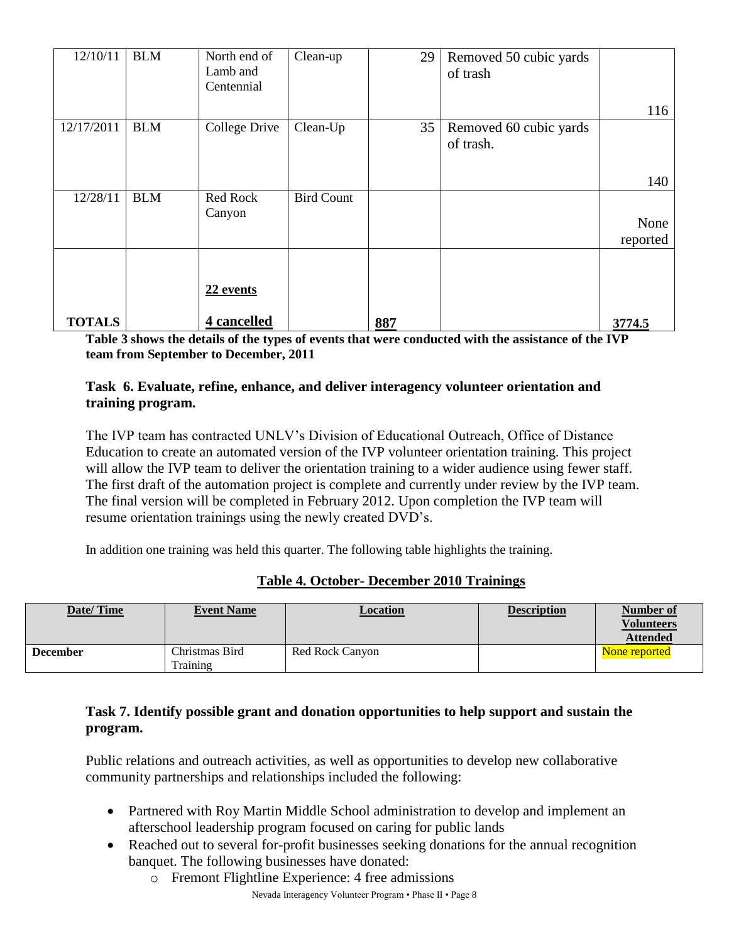| 12/10/11      | <b>BLM</b> | North end of<br>Lamb and<br>Centennial | Clean-up          | 29  | Removed 50 cubic yards<br>of trash  |          |
|---------------|------------|----------------------------------------|-------------------|-----|-------------------------------------|----------|
|               |            |                                        |                   |     |                                     | 116      |
| 12/17/2011    | <b>BLM</b> | College Drive                          | Clean-Up          | 35  | Removed 60 cubic yards<br>of trash. |          |
|               |            |                                        |                   |     |                                     | 140      |
| 12/28/11      | <b>BLM</b> | <b>Red Rock</b><br>Canyon              | <b>Bird Count</b> |     |                                     |          |
|               |            |                                        |                   |     |                                     | None     |
|               |            |                                        |                   |     |                                     | reported |
|               |            |                                        |                   |     |                                     |          |
|               |            | 22 events                              |                   |     |                                     |          |
| <b>TOTALS</b> |            | 4 cancelled                            |                   | 887 |                                     | 3774.5   |

**Table 3 shows the details of the types of events that were conducted with the assistance of the IVP team from September to December, 2011**

#### **Task 6. Evaluate, refine, enhance, and deliver interagency volunteer orientation and training program.**

The IVP team has contracted UNLV's Division of Educational Outreach, Office of Distance Education to create an automated version of the IVP volunteer orientation training. This project will allow the IVP team to deliver the orientation training to a wider audience using fewer staff. The first draft of the automation project is complete and currently under review by the IVP team. The final version will be completed in February 2012. Upon completion the IVP team will resume orientation trainings using the newly created DVD's.

In addition one training was held this quarter. The following table highlights the training.

#### **Table 4. October- December 2010 Trainings**

| Date/Time       | <b>Event Name</b>          | Location               | <b>Description</b> | Number of<br><b>Volunteers</b><br><b>Attended</b> |
|-----------------|----------------------------|------------------------|--------------------|---------------------------------------------------|
| <b>December</b> | Christmas Bird<br>Training | <b>Red Rock Canyon</b> |                    | None reported                                     |

#### **Task 7. Identify possible grant and donation opportunities to help support and sustain the program.**

Public relations and outreach activities, as well as opportunities to develop new collaborative community partnerships and relationships included the following:

- Partnered with Roy Martin Middle School administration to develop and implement an afterschool leadership program focused on caring for public lands
- Reached out to several for-profit businesses seeking donations for the annual recognition banquet. The following businesses have donated:
	- o Fremont Flightline Experience: 4 free admissions